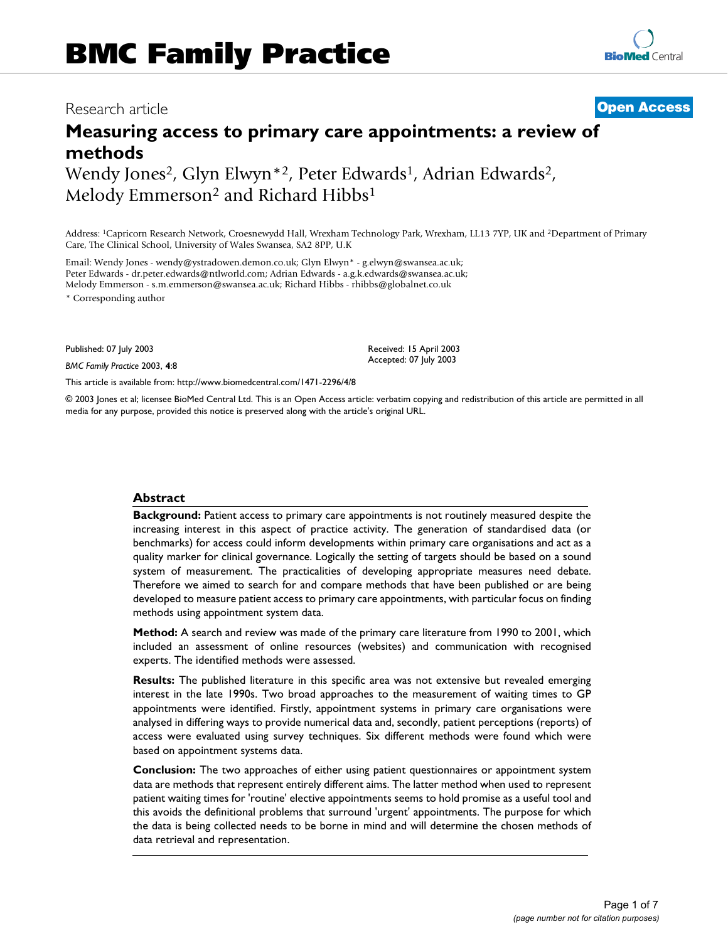# Research article **[Open Access](http://www.biomedcentral.com/info/about/charter/)**

# **Measuring access to primary care appointments: a review of methods**

Wendy Jones<sup>2</sup>, Glyn Elwyn<sup>\*2</sup>, Peter Edwards<sup>1</sup>, Adrian Edwards<sup>2</sup>, Melody Emmerson<sup>2</sup> and Richard Hibbs<sup>1</sup>

Address: 1Capricorn Research Network, Croesnewydd Hall, Wrexham Technology Park, Wrexham, LL13 7YP, UK and 2Department of Primary Care, The Clinical School, University of Wales Swansea, SA2 8PP, U.K

Email: Wendy Jones - wendy@ystradowen.demon.co.uk; Glyn Elwyn\* - g.elwyn@swansea.ac.uk; Peter Edwards - dr.peter.edwards@ntlworld.com; Adrian Edwards - a.g.k.edwards@swansea.ac.uk; Melody Emmerson - s.m.emmerson@swansea.ac.uk; Richard Hibbs - rhibbs@globalnet.co.uk \* Corresponding author

Published: 07 July 2003

*BMC Family Practice* 2003, **4**:8

[This article is available from: http://www.biomedcentral.com/1471-2296/4/8](http://www.biomedcentral.com/1471-2296/4/8)

© 2003 Jones et al; licensee BioMed Central Ltd. This is an Open Access article: verbatim copying and redistribution of this article are permitted in all media for any purpose, provided this notice is preserved along with the article's original URL.

Received: 15 April 2003 Accepted: 07 July 2003

### **Abstract**

**Background:** Patient access to primary care appointments is not routinely measured despite the increasing interest in this aspect of practice activity. The generation of standardised data (or benchmarks) for access could inform developments within primary care organisations and act as a quality marker for clinical governance. Logically the setting of targets should be based on a sound system of measurement. The practicalities of developing appropriate measures need debate. Therefore we aimed to search for and compare methods that have been published or are being developed to measure patient access to primary care appointments, with particular focus on finding methods using appointment system data.

**Method:** A search and review was made of the primary care literature from 1990 to 2001, which included an assessment of online resources (websites) and communication with recognised experts. The identified methods were assessed.

**Results:** The published literature in this specific area was not extensive but revealed emerging interest in the late 1990s. Two broad approaches to the measurement of waiting times to GP appointments were identified. Firstly, appointment systems in primary care organisations were analysed in differing ways to provide numerical data and, secondly, patient perceptions (reports) of access were evaluated using survey techniques. Six different methods were found which were based on appointment systems data.

**Conclusion:** The two approaches of either using patient questionnaires or appointment system data are methods that represent entirely different aims. The latter method when used to represent patient waiting times for 'routine' elective appointments seems to hold promise as a useful tool and this avoids the definitional problems that surround 'urgent' appointments. The purpose for which the data is being collected needs to be borne in mind and will determine the chosen methods of data retrieval and representation.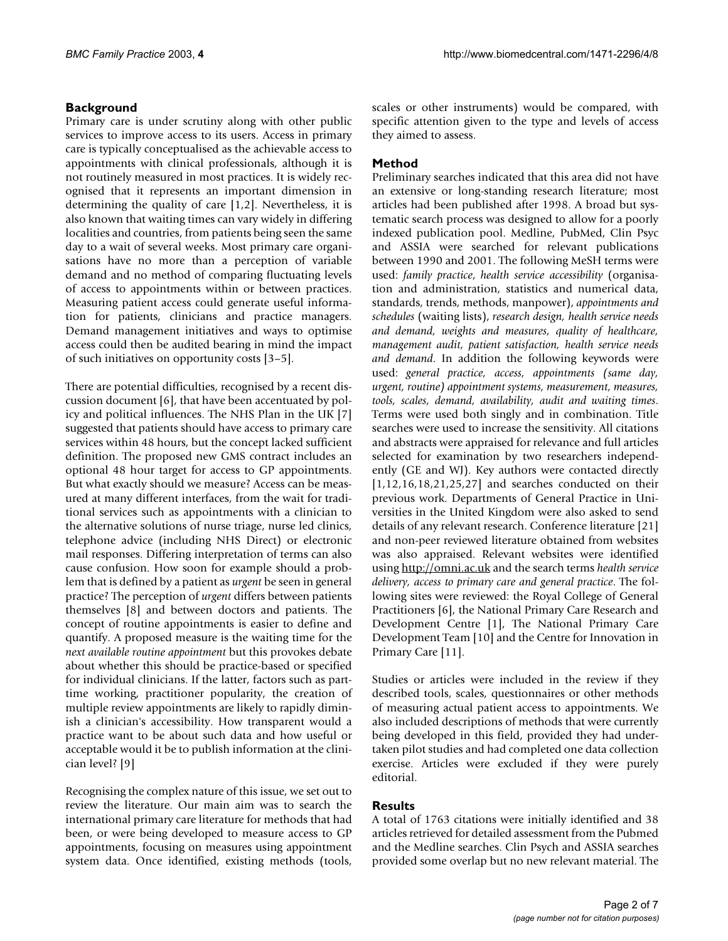## **Background**

Primary care is under scrutiny along with other public services to improve access to its users. Access in primary care is typically conceptualised as the achievable access to appointments with clinical professionals, although it is not routinely measured in most practices. It is widely recognised that it represents an important dimension in determining the quality of care [1,2]. Nevertheless, it is also known that waiting times can vary widely in differing localities and countries, from patients being seen the same day to a wait of several weeks. Most primary care organisations have no more than a perception of variable demand and no method of comparing fluctuating levels of access to appointments within or between practices. Measuring patient access could generate useful information for patients, clinicians and practice managers. Demand management initiatives and ways to optimise access could then be audited bearing in mind the impact of such initiatives on opportunity costs [3–5].

There are potential difficulties, recognised by a recent discussion document [6], that have been accentuated by policy and political influences. The NHS Plan in the UK [7] suggested that patients should have access to primary care services within 48 hours, but the concept lacked sufficient definition. The proposed new GMS contract includes an optional 48 hour target for access to GP appointments. But what exactly should we measure? Access can be measured at many different interfaces, from the wait for traditional services such as appointments with a clinician to the alternative solutions of nurse triage, nurse led clinics, telephone advice (including NHS Direct) or electronic mail responses. Differing interpretation of terms can also cause confusion. How soon for example should a problem that is defined by a patient as *urgent* be seen in general practice? The perception of *urgent* differs between patients themselves [8] and between doctors and patients. The concept of routine appointments is easier to define and quantify. A proposed measure is the waiting time for the *next available routine appointment* but this provokes debate about whether this should be practice-based or specified for individual clinicians. If the latter, factors such as parttime working, practitioner popularity, the creation of multiple review appointments are likely to rapidly diminish a clinician's accessibility. How transparent would a practice want to be about such data and how useful or acceptable would it be to publish information at the clinician level? [9]

Recognising the complex nature of this issue, we set out to review the literature. Our main aim was to search the international primary care literature for methods that had been, or were being developed to measure access to GP appointments, focusing on measures using appointment system data. Once identified, existing methods (tools,

scales or other instruments) would be compared, with specific attention given to the type and levels of access they aimed to assess.

## **Method**

Preliminary searches indicated that this area did not have an extensive or long-standing research literature; most articles had been published after 1998. A broad but systematic search process was designed to allow for a poorly indexed publication pool. Medline, PubMed, Clin Psyc and ASSIA were searched for relevant publications between 1990 and 2001. The following MeSH terms were used: *family practice*, *health service accessibility* (organisation and administration, statistics and numerical data, standards, trends, methods, manpower), *appointments and schedules* (waiting lists), *research design, health service needs and demand, weights and measures, quality of healthcare, management audit, patient satisfaction, health service needs and demand*. In addition the following keywords were used: *general practice, access, appointments (same day, urgent, routine) appointment systems, measurement, measures, tools, scales, demand, availability, audit and waiting times*. Terms were used both singly and in combination. Title searches were used to increase the sensitivity. All citations and abstracts were appraised for relevance and full articles selected for examination by two researchers independently (GE and WJ). Key authors were contacted directly [1,12,16,18,21,25,27] and searches conducted on their previous work. Departments of General Practice in Universities in the United Kingdom were also asked to send details of any relevant research. Conference literature [21] and non-peer reviewed literature obtained from websites was also appraised. Relevant websites were identified using<http://omni.ac.uk>and the search terms *health service delivery, access to primary care and general practice*. The following sites were reviewed: the Royal College of General Practitioners [6], the National Primary Care Research and Development Centre [1], The National Primary Care Development Team [10] and the Centre for Innovation in Primary Care [11].

Studies or articles were included in the review if they described tools, scales, questionnaires or other methods of measuring actual patient access to appointments. We also included descriptions of methods that were currently being developed in this field, provided they had undertaken pilot studies and had completed one data collection exercise. Articles were excluded if they were purely editorial.

## **Results**

A total of 1763 citations were initially identified and 38 articles retrieved for detailed assessment from the Pubmed and the Medline searches. Clin Psych and ASSIA searches provided some overlap but no new relevant material. The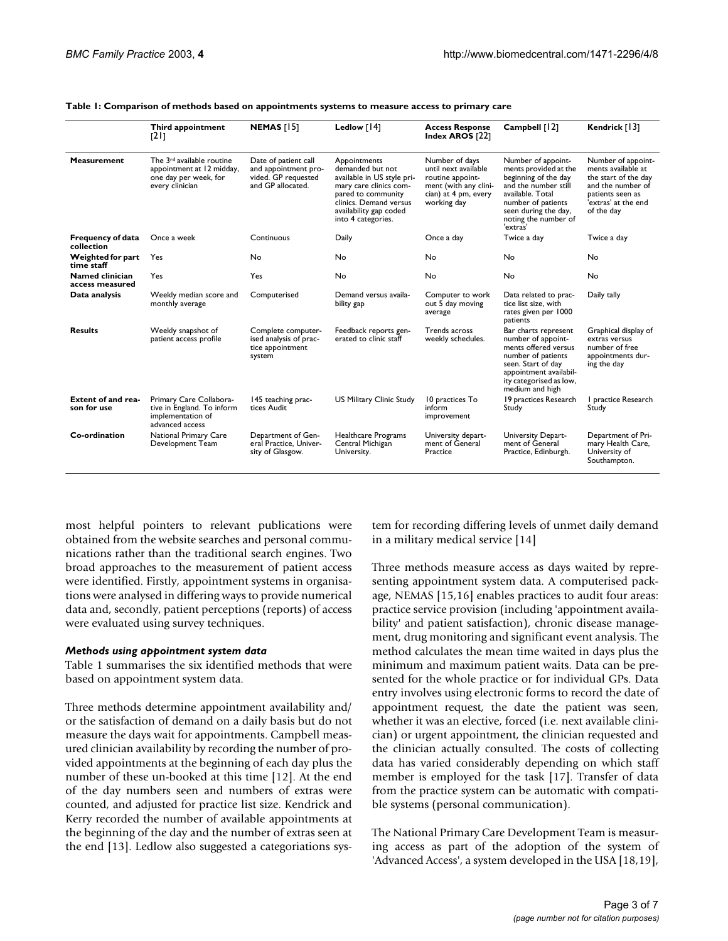|                                          | Third appointment<br>[21]                                                                                      | <b>NEMAS</b> [15]                                                                        | Ledlow $[14]$                                                                                                                                                                            | <b>Access Response</b><br>Index AROS $[22]$                                                                                | Campbell [12]                                                                                                                                                                                     | Kendrick [13]                                                                                                                                  |
|------------------------------------------|----------------------------------------------------------------------------------------------------------------|------------------------------------------------------------------------------------------|------------------------------------------------------------------------------------------------------------------------------------------------------------------------------------------|----------------------------------------------------------------------------------------------------------------------------|---------------------------------------------------------------------------------------------------------------------------------------------------------------------------------------------------|------------------------------------------------------------------------------------------------------------------------------------------------|
| <b>Measurement</b>                       | The 3 <sup>rd</sup> available routine<br>appointment at 12 midday,<br>one day per week, for<br>every clinician | Date of patient call<br>and appointment pro-<br>vided. GP requested<br>and GP allocated. | Appointments<br>demanded but not<br>available in US style pri-<br>mary care clinics com-<br>pared to community<br>clinics. Demand versus<br>availability gap coded<br>into 4 categories. | Number of days<br>until next available<br>routine appoint-<br>ment (with any clini-<br>cian) at 4 pm, every<br>working day | Number of appoint-<br>ments provided at the<br>beginning of the day<br>and the number still<br>available. Total<br>number of patients<br>seen during the day,<br>noting the number of<br>'extras' | Number of appoint-<br>ments available at<br>the start of the day<br>and the number of<br>patients seen as<br>'extras' at the end<br>of the day |
| Frequency of data<br>collection          | Once a week                                                                                                    | Continuous                                                                               | Daily                                                                                                                                                                                    | Once a day                                                                                                                 | Twice a day                                                                                                                                                                                       | Twice a day                                                                                                                                    |
| Weighted for part<br>time staff          | Yes                                                                                                            | No                                                                                       | N <sub>o</sub>                                                                                                                                                                           | No                                                                                                                         | N <sub>o</sub>                                                                                                                                                                                    | No                                                                                                                                             |
| Named clinician<br>access measured       | <b>Yes</b>                                                                                                     | Yes                                                                                      | No                                                                                                                                                                                       | No                                                                                                                         | No                                                                                                                                                                                                | No                                                                                                                                             |
| Data analysis                            | Weekly median score and<br>monthly average                                                                     | Computerised                                                                             | Demand versus availa-<br>bility gap                                                                                                                                                      | Computer to work<br>out 5 day moving<br>average                                                                            | Data related to prac-<br>tice list size, with<br>rates given per 1000<br>patients                                                                                                                 | Daily tally                                                                                                                                    |
| <b>Results</b>                           | Weekly snapshot of<br>patient access profile                                                                   | Complete computer-<br>ised analysis of prac-<br>tice appointment<br>system               | Feedback reports gen-<br>erated to clinic staff                                                                                                                                          | Trends across<br>weekly schedules.                                                                                         | Bar charts represent<br>number of appoint-<br>ments offered versus<br>number of patients<br>seen. Start of day<br>appointment availabil-<br>ity categorised as low,<br>medium and high            | Graphical display of<br>extras versus<br>number of free<br>appointments dur-<br>ing the day                                                    |
| <b>Extent of and rea-</b><br>son for use | Primary Care Collabora-<br>tive in England. To inform<br>implementation of<br>advanced access                  | 145 teaching prac-<br>tices Audit                                                        | <b>US Military Clinic Study</b>                                                                                                                                                          | 10 practices To<br>inform<br>improvement                                                                                   | 19 practices Research<br>Study                                                                                                                                                                    | I practice Research<br>Study                                                                                                                   |
| Co-ordination                            | <b>National Primary Care</b><br>Development Team                                                               | Department of Gen-<br>eral Practice, Univer-<br>sity of Glasgow.                         | <b>Healthcare Programs</b><br>Central Michigan<br>University.                                                                                                                            | University depart-<br>ment of General<br>Practice                                                                          | University Depart-<br>ment of General<br>Practice, Edinburgh.                                                                                                                                     | Department of Pri-<br>mary Health Care,<br>University of<br>Southampton.                                                                       |

#### <span id="page-2-0"></span>**Table 1: Comparison of methods based on appointments systems to measure access to primary care**

most helpful pointers to relevant publications were obtained from the website searches and personal communications rather than the traditional search engines. Two broad approaches to the measurement of patient access were identified. Firstly, appointment systems in organisations were analysed in differing ways to provide numerical data and, secondly, patient perceptions (reports) of access were evaluated using survey techniques.

### *Methods using appointment system data*

Table [1](#page-2-0) summarises the six identified methods that were based on appointment system data.

Three methods determine appointment availability and/ or the satisfaction of demand on a daily basis but do not measure the days wait for appointments. Campbell measured clinician availability by recording the number of provided appointments at the beginning of each day plus the number of these un-booked at this time [12]. At the end of the day numbers seen and numbers of extras were counted, and adjusted for practice list size. Kendrick and Kerry recorded the number of available appointments at the beginning of the day and the number of extras seen at the end [13]. Ledlow also suggested a categoriations system for recording differing levels of unmet daily demand in a military medical service [14]

Three methods measure access as days waited by representing appointment system data. A computerised package, NEMAS [15,16] enables practices to audit four areas: practice service provision (including 'appointment availability' and patient satisfaction), chronic disease management, drug monitoring and significant event analysis. The method calculates the mean time waited in days plus the minimum and maximum patient waits. Data can be presented for the whole practice or for individual GPs. Data entry involves using electronic forms to record the date of appointment request, the date the patient was seen, whether it was an elective, forced (i.e. next available clinician) or urgent appointment, the clinician requested and the clinician actually consulted. The costs of collecting data has varied considerably depending on which staff member is employed for the task [17]. Transfer of data from the practice system can be automatic with compatible systems (personal communication).

The National Primary Care Development Team is measuring access as part of the adoption of the system of 'Advanced Access', a system developed in the USA [18,19],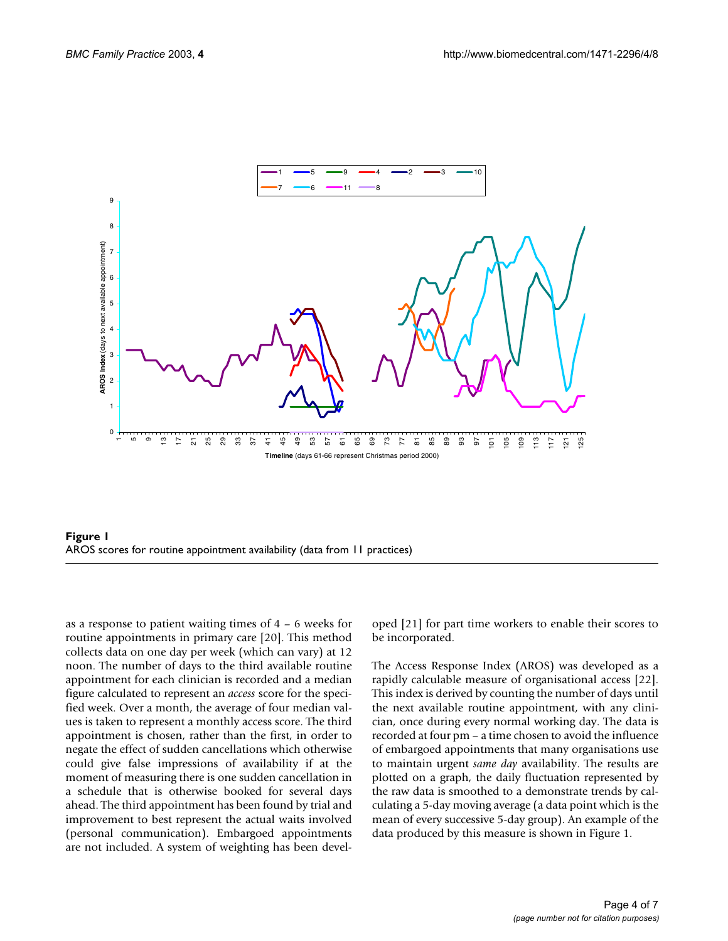



as a response to patient waiting times of 4 – 6 weeks for routine appointments in primary care [20]. This method collects data on one day per week (which can vary) at 12 noon. The number of days to the third available routine appointment for each clinician is recorded and a median figure calculated to represent an *access* score for the specified week. Over a month, the average of four median values is taken to represent a monthly access score. The third appointment is chosen, rather than the first, in order to negate the effect of sudden cancellations which otherwise could give false impressions of availability if at the moment of measuring there is one sudden cancellation in a schedule that is otherwise booked for several days ahead. The third appointment has been found by trial and improvement to best represent the actual waits involved (personal communication). Embargoed appointments are not included. A system of weighting has been developed [21] for part time workers to enable their scores to be incorporated.

The Access Response Index (AROS) was developed as a rapidly calculable measure of organisational access [22]. This index is derived by counting the number of days until the next available routine appointment, with any clinician, once during every normal working day. The data is recorded at four pm – a time chosen to avoid the influence of embargoed appointments that many organisations use to maintain urgent *same day* availability. The results are plotted on a graph, the daily fluctuation represented by the raw data is smoothed to a demonstrate trends by calculating a 5-day moving average (a data point which is the mean of every successive 5-day group). An example of the data produced by this measure is shown in Figure 1.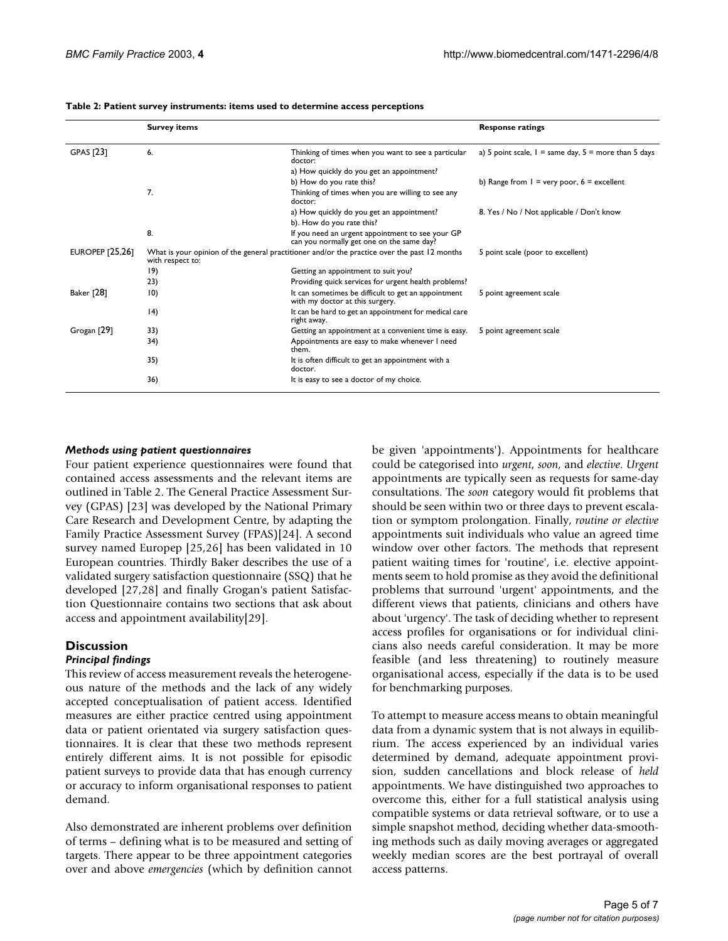|                        | <b>Survey items</b>                                                                                              |                                                                                               | <b>Response ratings</b>                                  |
|------------------------|------------------------------------------------------------------------------------------------------------------|-----------------------------------------------------------------------------------------------|----------------------------------------------------------|
| GPAS [23]              | 6.                                                                                                               | Thinking of times when you want to see a particular<br>doctor:                                | a) 5 point scale, $l =$ same day, $5 =$ more than 5 days |
|                        |                                                                                                                  | a) How quickly do you get an appointment?                                                     |                                                          |
|                        |                                                                                                                  | b) How do you rate this?                                                                      | b) Range from $1 = \text{very poor}$ , 6 = excellent     |
|                        | 7.                                                                                                               | Thinking of times when you are willing to see any<br>doctor:                                  |                                                          |
|                        |                                                                                                                  | a) How quickly do you get an appointment?                                                     | 8. Yes / No / Not applicable / Don't know                |
|                        |                                                                                                                  | b). How do you rate this?                                                                     |                                                          |
|                        | 8.                                                                                                               | If you need an urgent appointment to see your GP<br>can you normally get one on the same day? |                                                          |
| <b>EUROPEP [25,26]</b> | What is your opinion of the general practitioner and/or the practice over the past 12 months<br>with respect to: |                                                                                               | 5 point scale (poor to excellent)                        |
|                        | 19)                                                                                                              | Getting an appointment to suit you?                                                           |                                                          |
|                        | 23)                                                                                                              | Providing quick services for urgent health problems?                                          |                                                          |
| Baker [28]             | 10)                                                                                                              | It can sometimes be difficult to get an appointment<br>with my doctor at this surgery.        | 5 point agreement scale                                  |
|                        | $ 4\rangle$                                                                                                      | It can be hard to get an appointment for medical care<br>right away.                          |                                                          |
| Grogan [29]            | 33)                                                                                                              | Getting an appointment at a convenient time is easy.                                          | 5 point agreement scale                                  |
|                        | 34)                                                                                                              | Appointments are easy to make whenever I need<br>them.                                        |                                                          |
|                        | 35)                                                                                                              | It is often difficult to get an appointment with a<br>doctor.                                 |                                                          |
|                        | 36)                                                                                                              | It is easy to see a doctor of my choice.                                                      |                                                          |
|                        |                                                                                                                  |                                                                                               |                                                          |

#### <span id="page-4-0"></span>**Table 2: Patient survey instruments: items used to determine access perceptions**

### *Methods using patient questionnaires*

Four patient experience questionnaires were found that contained access assessments and the relevant items are outlined in Table [2](#page-4-0). The General Practice Assessment Survey (GPAS) [23] was developed by the National Primary Care Research and Development Centre, by adapting the Family Practice Assessment Survey (FPAS)[24]. A second survey named Europep [25,26] has been validated in 10 European countries. Thirdly Baker describes the use of a validated surgery satisfaction questionnaire (SSQ) that he developed [27,28] and finally Grogan's patient Satisfaction Questionnaire contains two sections that ask about access and appointment availability[29].

# **Discussion**

# *Principal findings*

This review of access measurement reveals the heterogeneous nature of the methods and the lack of any widely accepted conceptualisation of patient access. Identified measures are either practice centred using appointment data or patient orientated via surgery satisfaction questionnaires. It is clear that these two methods represent entirely different aims. It is not possible for episodic patient surveys to provide data that has enough currency or accuracy to inform organisational responses to patient demand.

Also demonstrated are inherent problems over definition of terms – defining what is to be measured and setting of targets. There appear to be three appointment categories over and above *emergencies* (which by definition cannot be given 'appointments'). Appointments for healthcare could be categorised into *urgent*, *soon*, and *elective*. *Urgent* appointments are typically seen as requests for same-day consultations. The *soon* category would fit problems that should be seen within two or three days to prevent escalation or symptom prolongation. Finally, *routine or elective* appointments suit individuals who value an agreed time window over other factors. The methods that represent patient waiting times for 'routine', i.e. elective appointments seem to hold promise as they avoid the definitional problems that surround 'urgent' appointments, and the different views that patients, clinicians and others have about 'urgency'. The task of deciding whether to represent access profiles for organisations or for individual clinicians also needs careful consideration. It may be more feasible (and less threatening) to routinely measure organisational access, especially if the data is to be used for benchmarking purposes.

To attempt to measure access means to obtain meaningful data from a dynamic system that is not always in equilibrium. The access experienced by an individual varies determined by demand, adequate appointment provision, sudden cancellations and block release of *held* appointments. We have distinguished two approaches to overcome this, either for a full statistical analysis using compatible systems or data retrieval software, or to use a simple snapshot method, deciding whether data-smoothing methods such as daily moving averages or aggregated weekly median scores are the best portrayal of overall access patterns.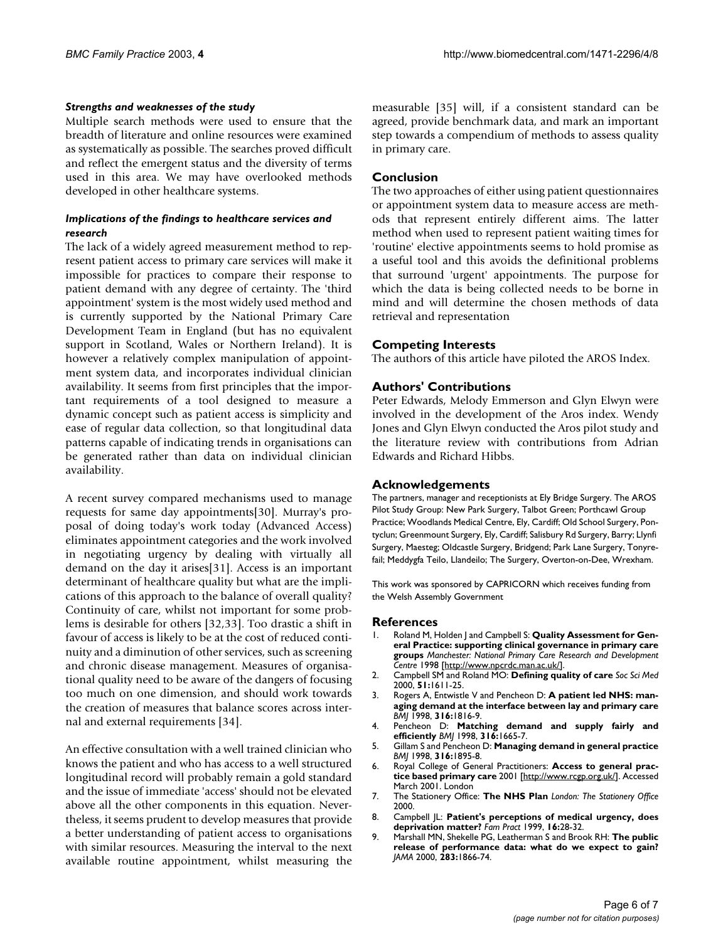### *Strengths and weaknesses of the study*

Multiple search methods were used to ensure that the breadth of literature and online resources were examined as systematically as possible. The searches proved difficult and reflect the emergent status and the diversity of terms used in this area. We may have overlooked methods developed in other healthcare systems.

### *Implications of the findings to healthcare services and research*

The lack of a widely agreed measurement method to represent patient access to primary care services will make it impossible for practices to compare their response to patient demand with any degree of certainty. The 'third appointment' system is the most widely used method and is currently supported by the National Primary Care Development Team in England (but has no equivalent support in Scotland, Wales or Northern Ireland). It is however a relatively complex manipulation of appointment system data, and incorporates individual clinician availability. It seems from first principles that the important requirements of a tool designed to measure a dynamic concept such as patient access is simplicity and ease of regular data collection, so that longitudinal data patterns capable of indicating trends in organisations can be generated rather than data on individual clinician availability.

A recent survey compared mechanisms used to manage requests for same day appointments[30]. Murray's proposal of doing today's work today (Advanced Access) eliminates appointment categories and the work involved in negotiating urgency by dealing with virtually all demand on the day it arises[31]. Access is an important determinant of healthcare quality but what are the implications of this approach to the balance of overall quality? Continuity of care, whilst not important for some problems is desirable for others [32,33]. Too drastic a shift in favour of access is likely to be at the cost of reduced continuity and a diminution of other services, such as screening and chronic disease management. Measures of organisational quality need to be aware of the dangers of focusing too much on one dimension, and should work towards the creation of measures that balance scores across internal and external requirements [34].

An effective consultation with a well trained clinician who knows the patient and who has access to a well structured longitudinal record will probably remain a gold standard and the issue of immediate 'access' should not be elevated above all the other components in this equation. Nevertheless, it seems prudent to develop measures that provide a better understanding of patient access to organisations with similar resources. Measuring the interval to the next available routine appointment, whilst measuring the measurable [35] will, if a consistent standard can be agreed, provide benchmark data, and mark an important step towards a compendium of methods to assess quality in primary care.

# **Conclusion**

The two approaches of either using patient questionnaires or appointment system data to measure access are methods that represent entirely different aims. The latter method when used to represent patient waiting times for 'routine' elective appointments seems to hold promise as a useful tool and this avoids the definitional problems that surround 'urgent' appointments. The purpose for which the data is being collected needs to be borne in mind and will determine the chosen methods of data retrieval and representation

## **Competing Interests**

The authors of this article have piloted the AROS Index.

## **Authors' Contributions**

Peter Edwards, Melody Emmerson and Glyn Elwyn were involved in the development of the Aros index. Wendy Jones and Glyn Elwyn conducted the Aros pilot study and the literature review with contributions from Adrian Edwards and Richard Hibbs.

## **Acknowledgements**

The partners, manager and receptionists at Ely Bridge Surgery. The AROS Pilot Study Group: New Park Surgery, Talbot Green; Porthcawl Group Practice; Woodlands Medical Centre, Ely, Cardiff; Old School Surgery, Pontyclun; Greenmount Surgery, Ely, Cardiff; Salisbury Rd Surgery, Barry; Llynfi Surgery, Maesteg; Oldcastle Surgery, Bridgend; Park Lane Surgery, Tonyrefail; Meddygfa Teilo, Llandeilo; The Surgery, Overton-on-Dee, Wrexham.

This work was sponsored by CAPRICORN which receives funding from the Welsh Assembly Government

## **References**

- 1. Roland M, Holden J and Campbell S: **Quality Assessment for General Practice: supporting clinical governance in primary care groups** *Manchester: National Primary Care Research and Development Centre* 1998 [\[http://www.npcrdc.man.ac.uk/\]](http://www.npcrdc.man.ac.uk/).
- 2. Campbell SM and Roland MO: **[Defining quality of care](http://www.ncbi.nlm.nih.gov/entrez/query.fcgi?cmd=Retrieve&db=PubMed&dopt=Abstract&list_uids=11072882)** *Soc Sci Med* 2000, **51:**1611-25.
- 3. Rogers A, Entwistle V and Pencheon D: **[A patient led NHS: man](http://www.ncbi.nlm.nih.gov/entrez/query.fcgi?cmd=Retrieve&db=PubMed&dopt=Abstract&list_uids=9624078)[aging demand at the interface between lay and primary care](http://www.ncbi.nlm.nih.gov/entrez/query.fcgi?cmd=Retrieve&db=PubMed&dopt=Abstract&list_uids=9624078)** *BMJ* 1998, **316:**1816-9.
- 4. Pencheon D: **[Matching demand and supply fairly and](http://www.ncbi.nlm.nih.gov/entrez/query.fcgi?cmd=Retrieve&db=PubMed&dopt=Abstract&list_uids=9603757) [efficiently](http://www.ncbi.nlm.nih.gov/entrez/query.fcgi?cmd=Retrieve&db=PubMed&dopt=Abstract&list_uids=9603757)** *BMJ* 1998, **316:**1665-7.
- 5. Gillam S and Pencheon D: **[Managing demand in general practice](http://www.ncbi.nlm.nih.gov/entrez/query.fcgi?cmd=Retrieve&db=PubMed&dopt=Abstract&list_uids=9632416)** *BMJ* 1998, **316:**1895-8.
- 6. Royal College of General Practitioners: **Access to general practice based primary care** 2001 [\[http://www.rcgp.org.uk/\]](http://www.rcgp.org.uk/). Accessed March 2001. London
- 7. The Stationery Office: **The NHS Plan** *London: The Stationery Office* 2000.
- 8. Campbell JL: **[Patient's perceptions of medical urgency, does](http://www.ncbi.nlm.nih.gov/entrez/query.fcgi?cmd=Retrieve&db=PubMed&dopt=Abstract&list_uids=10321392) [deprivation matter?](http://www.ncbi.nlm.nih.gov/entrez/query.fcgi?cmd=Retrieve&db=PubMed&dopt=Abstract&list_uids=10321392)** *Fam Pract* 1999, **16:**28-32.
- 9. Marshall MN, Shekelle PG, Leatherman S and Brook RH: **[The public](http://www.ncbi.nlm.nih.gov/entrez/query.fcgi?cmd=Retrieve&db=PubMed&dopt=Abstract&list_uids=10770149) [release of performance data: what do we expect to gain?](http://www.ncbi.nlm.nih.gov/entrez/query.fcgi?cmd=Retrieve&db=PubMed&dopt=Abstract&list_uids=10770149)** *JAMA* 2000, **283:**1866-74.